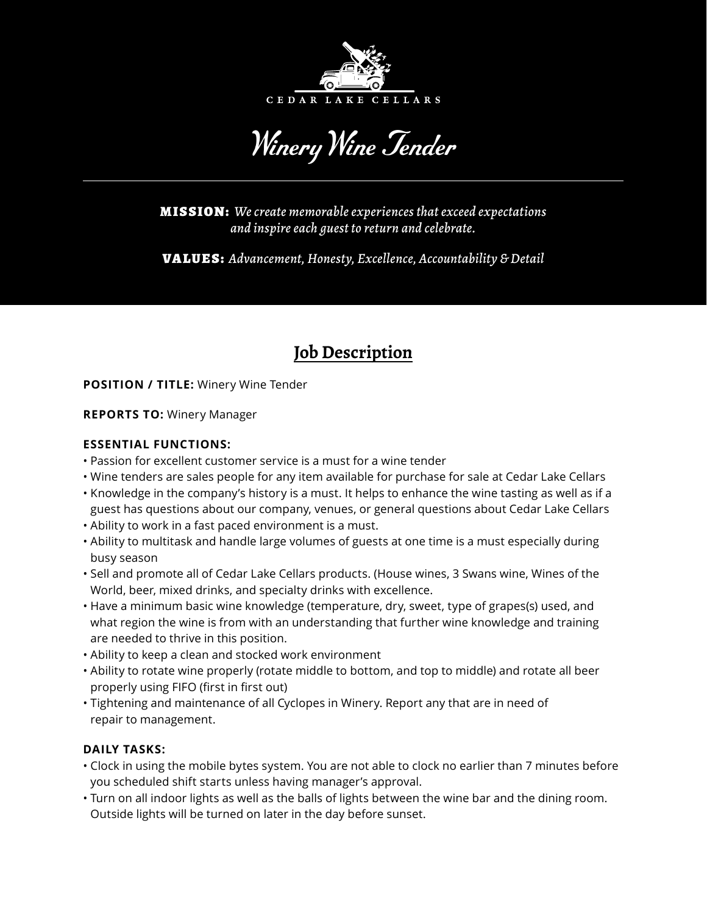

Winery Wine Tender

MISSION: *We create memorable experiences that exceed expectations and inspire each guest to return and celebrate.*

VALUES: *Advancement, Honesty, Excellence, Accountability & Detail*

# **Job Description**

**POSITION / TITLE:** Winery Wine Tender

**REPORTS TO:** Winery Manager

#### **ESSENTIAL FUNCTIONS:**

- Passion for excellent customer service is a must for a wine tender
- Wine tenders are sales people for any item available for purchase for sale at Cedar Lake Cellars
- Knowledge in the company's history is a must. It helps to enhance the wine tasting as well as if a guest has questions about our company, venues, or general questions about Cedar Lake Cellars
- Ability to work in a fast paced environment is a must.
- Ability to multitask and handle large volumes of guests at one time is a must especially during busy season
- Sell and promote all of Cedar Lake Cellars products. (House wines, 3 Swans wine, Wines of the World, beer, mixed drinks, and specialty drinks with excellence.
- Have a minimum basic wine knowledge (temperature, dry, sweet, type of grapes(s) used, and what region the wine is from with an understanding that further wine knowledge and training are needed to thrive in this position.
- Ability to keep a clean and stocked work environment
- Ability to rotate wine properly (rotate middle to bottom, and top to middle) and rotate all beer properly using FIFO (first in first out)
- Tightening and maintenance of all Cyclopes in Winery. Report any that are in need of repair to management.

## **DAILY TASKS:**

- Clock in using the mobile bytes system. You are not able to clock no earlier than 7 minutes before you scheduled shift starts unless having manager's approval.
- Turn on all indoor lights as well as the balls of lights between the wine bar and the dining room. Outside lights will be turned on later in the day before sunset.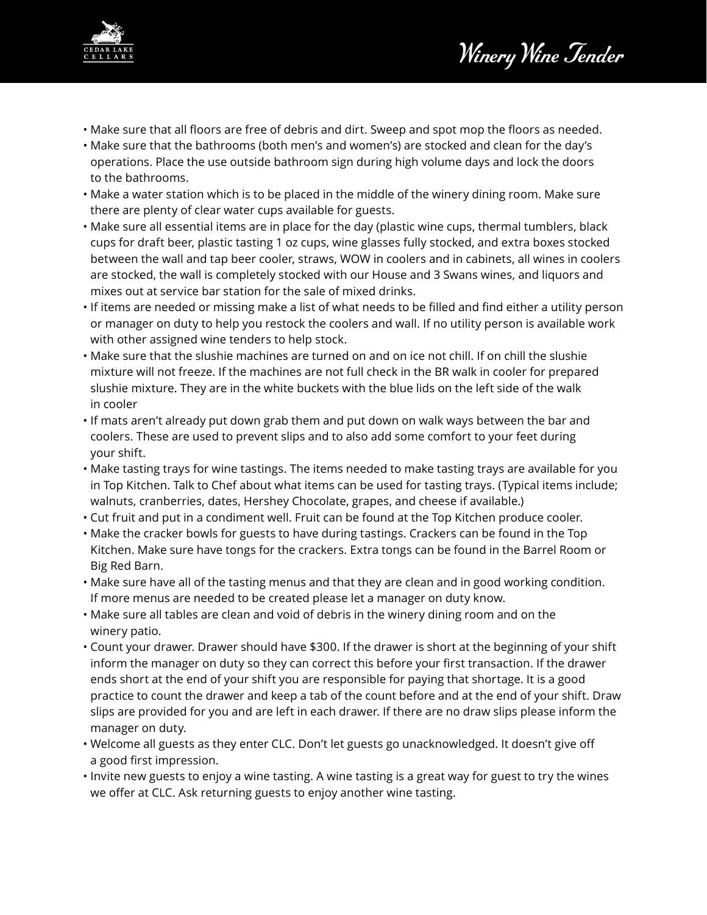

- Make sure that all floors are free of debris and dirt. Sweep and spot mop the floors as needed.
- Make sure that the bathrooms (both men's and women's) are stocked and clean for the day's operations. Place the use outside bathroom sign during high volume days and lock the doors to the bathrooms.
- Make a water station which is to be placed in the middle of the winery dining room. Make sure there are plenty of clear water cups available for guests.
- Make sure all essential items are in place for the day (plastic wine cups, thermal tumblers, black cups for draft beer, plastic tasting 1 oz cups, wine glasses fully stocked, and extra boxes stocked between the wall and tap beer cooler, straws, WOW in coolers and in cabinets, all wines in coolers are stocked, the wall is completely stocked with our House and 3 Swans wines, and liquors and mixes out at service bar station for the sale of mixed drinks.
- If items are needed or missing make a list of what needs to be filled and find either a utility person or manager on duty to help you restock the coolers and wall. If no utility person is available work with other assigned wine tenders to help stock.
- Make sure that the slushie machines are turned on and on ice not chill. If on chill the slushie mixture will not freeze. If the machines are not full check in the BR walk in cooler for prepared slushie mixture. They are in the white buckets with the blue lids on the left side of the walk in cooler
- If mats aren't already put down grab them and put down on walk ways between the bar and coolers. These are used to prevent slips and to also add some comfort to your feet during your shift.
- Make tasting trays for wine tastings. The items needed to make tasting trays are available for you in Top Kitchen. Talk to Chef about what items can be used for tasting trays. (Typical items include; walnuts, cranberries, dates, Hershey Chocolate, grapes, and cheese if available.)
- Cut fruit and put in a condiment well. Fruit can be found at the Top Kitchen produce cooler.
- Make the cracker bowls for guests to have during tastings. Crackers can be found in the Top Kitchen. Make sure have tongs for the crackers. Extra tongs can be found in the Barrel Room or Big Red Barn.
- Make sure have all of the tasting menus and that they are clean and in good working condition. If more menus are needed to be created please let a manager on duty know.
- Make sure all tables are clean and void of debris in the winery dining room and on the winery patio.
- Count your drawer. Drawer should have \$300. If the drawer is short at the beginning of your shift inform the manager on duty so they can correct this before your first transaction. If the drawer ends short at the end of your shift you are responsible for paying that shortage. It is a good practice to count the drawer and keep a tab of the count before and at the end of your shift. Draw slips are provided for you and are left in each drawer. If there are no draw slips please inform the manager on duty.
- Welcome all guests as they enter CLC. Don't let guests go unacknowledged. It doesn't give off a good first impression.
- Invite new guests to enjoy a wine tasting. A wine tasting is a great way for guest to try the wines we offer at CLC. Ask returning guests to enjoy another wine tasting.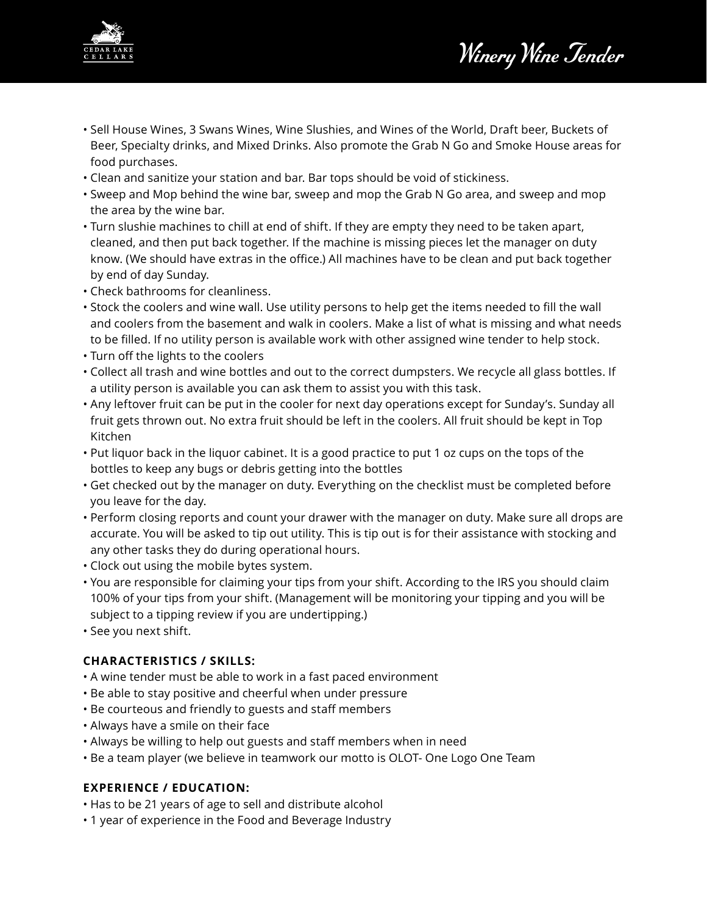

- Sell House Wines, 3 Swans Wines, Wine Slushies, and Wines of the World, Draft beer, Buckets of Beer, Specialty drinks, and Mixed Drinks. Also promote the Grab N Go and Smoke House areas for food purchases.
- Clean and sanitize your station and bar. Bar tops should be void of stickiness.
- Sweep and Mop behind the wine bar, sweep and mop the Grab N Go area, and sweep and mop the area by the wine bar.
- Turn slushie machines to chill at end of shift. If they are empty they need to be taken apart, cleaned, and then put back together. If the machine is missing pieces let the manager on duty know. (We should have extras in the office.) All machines have to be clean and put back together by end of day Sunday.
- Check bathrooms for cleanliness.
- Stock the coolers and wine wall. Use utility persons to help get the items needed to fill the wall and coolers from the basement and walk in coolers. Make a list of what is missing and what needs to be filled. If no utility person is available work with other assigned wine tender to help stock.
- Turn off the lights to the coolers
- Collect all trash and wine bottles and out to the correct dumpsters. We recycle all glass bottles. If a utility person is available you can ask them to assist you with this task.
- Any leftover fruit can be put in the cooler for next day operations except for Sunday's. Sunday all fruit gets thrown out. No extra fruit should be left in the coolers. All fruit should be kept in Top Kitchen
- Put liquor back in the liquor cabinet. It is a good practice to put 1 oz cups on the tops of the bottles to keep any bugs or debris getting into the bottles
- Get checked out by the manager on duty. Everything on the checklist must be completed before you leave for the day.
- Perform closing reports and count your drawer with the manager on duty. Make sure all drops are accurate. You will be asked to tip out utility. This is tip out is for their assistance with stocking and any other tasks they do during operational hours.
- Clock out using the mobile bytes system.
- You are responsible for claiming your tips from your shift. According to the IRS you should claim 100% of your tips from your shift. (Management will be monitoring your tipping and you will be subject to a tipping review if you are undertipping.)
- See you next shift.

## **CHARACTERISTICS / SKILLS:**

- A wine tender must be able to work in a fast paced environment
- Be able to stay positive and cheerful when under pressure
- Be courteous and friendly to guests and staff members
- Always have a smile on their face
- Always be willing to help out guests and staff members when in need
- Be a team player (we believe in teamwork our motto is OLOT- One Logo One Team

## **EXPERIENCE / EDUCATION:**

- Has to be 21 years of age to sell and distribute alcohol
- 1 year of experience in the Food and Beverage Industry